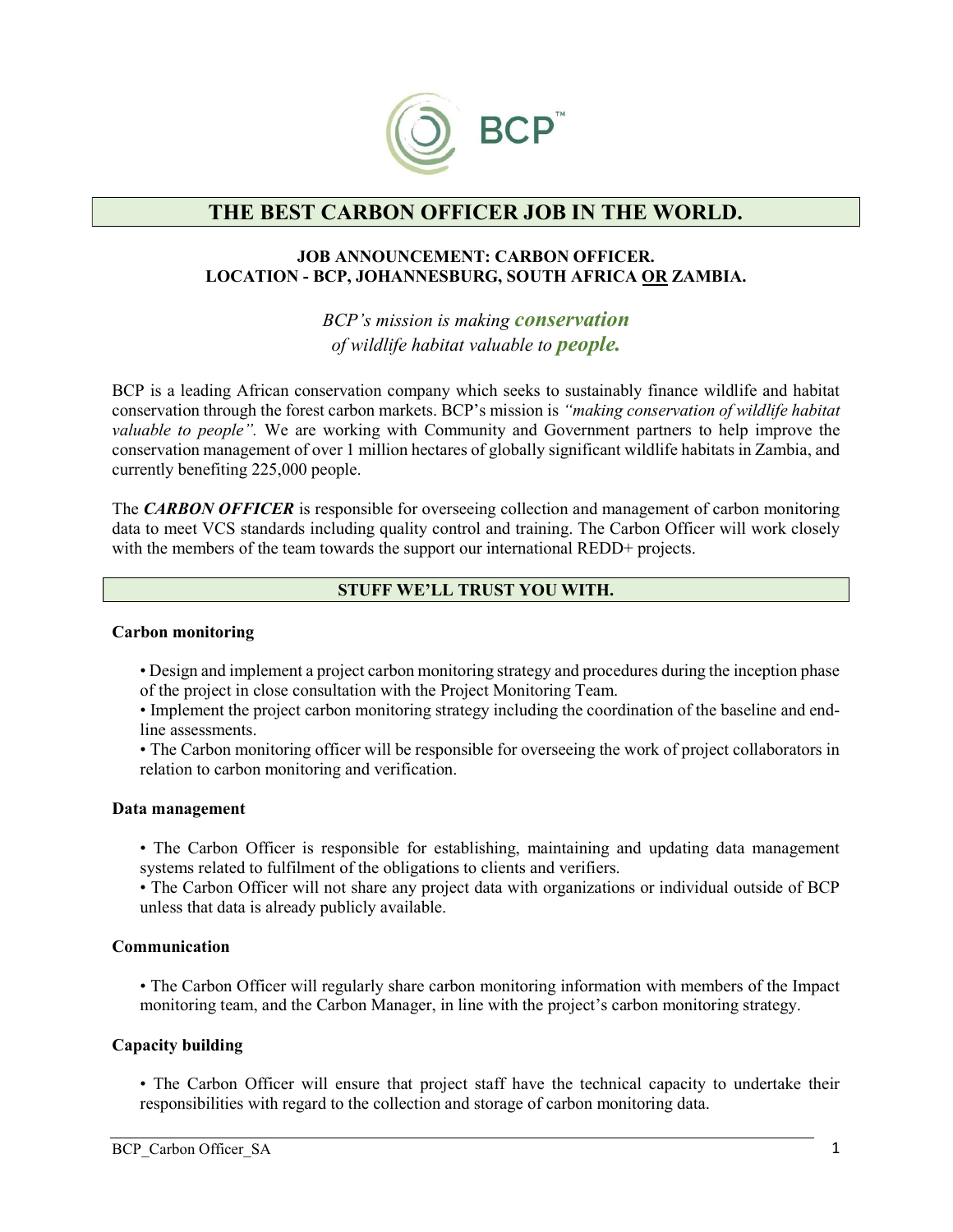

# THE BEST CARBON OFFICER JOB IN THE WORLD.

### JOB ANNOUNCEMENT: CARBON OFFICER. LOCATION - BCP, JOHANNESBURG, SOUTH AFRICA OR ZAMBIA.

BCP's mission is making **conservation** of wildlife habitat valuable to people.

BCP is a leading African conservation company which seeks to sustainably finance wildlife and habitat conservation through the forest carbon markets. BCP's mission is "making conservation of wildlife habitat valuable to people". We are working with Community and Government partners to help improve the conservation management of over 1 million hectares of globally significant wildlife habitats in Zambia, and currently benefiting 225,000 people.

The CARBON OFFICER is responsible for overseeing collection and management of carbon monitoring data to meet VCS standards including quality control and training. The Carbon Officer will work closely with the members of the team towards the support our international REDD+ projects.

### STUFF WE'LL TRUST YOU WITH.

#### Carbon monitoring

• Design and implement a project carbon monitoring strategy and procedures during the inception phase of the project in close consultation with the Project Monitoring Team.

• Implement the project carbon monitoring strategy including the coordination of the baseline and endline assessments.

• The Carbon monitoring officer will be responsible for overseeing the work of project collaborators in relation to carbon monitoring and verification.

#### Data management

• The Carbon Officer is responsible for establishing, maintaining and updating data management systems related to fulfilment of the obligations to clients and verifiers.

• The Carbon Officer will not share any project data with organizations or individual outside of BCP unless that data is already publicly available.

### Communication

• The Carbon Officer will regularly share carbon monitoring information with members of the Impact monitoring team, and the Carbon Manager, in line with the project's carbon monitoring strategy.

### Capacity building

• The Carbon Officer will ensure that project staff have the technical capacity to undertake their responsibilities with regard to the collection and storage of carbon monitoring data.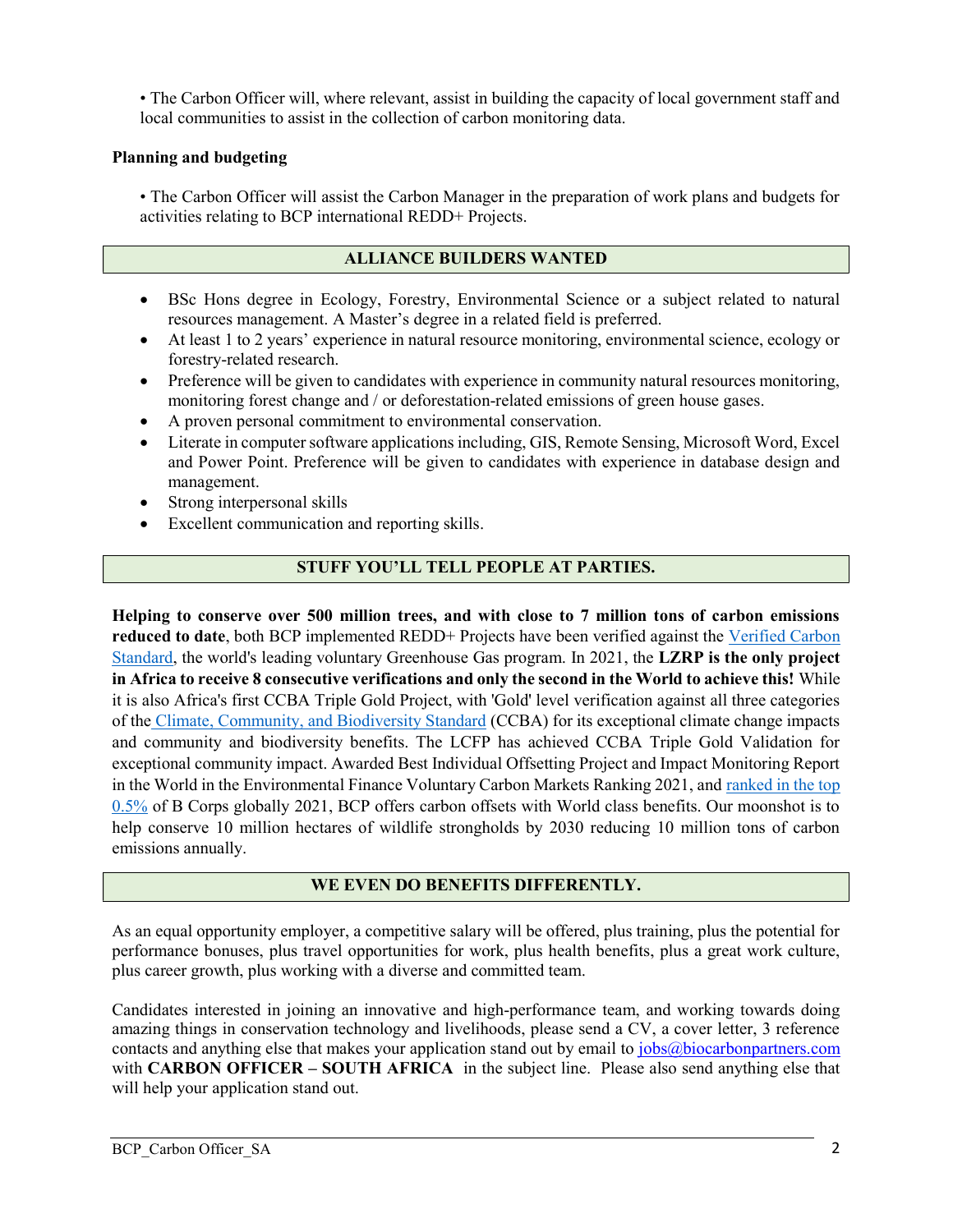• The Carbon Officer will, where relevant, assist in building the capacity of local government staff and local communities to assist in the collection of carbon monitoring data.

## Planning and budgeting

• The Carbon Officer will assist the Carbon Manager in the preparation of work plans and budgets for activities relating to BCP international REDD+ Projects.

## ALLIANCE BUILDERS WANTED

- BSc Hons degree in Ecology, Forestry, Environmental Science or a subject related to natural resources management. A Master's degree in a related field is preferred.
- At least 1 to 2 years' experience in natural resource monitoring, environmental science, ecology or forestry-related research.
- Preference will be given to candidates with experience in community natural resources monitoring, monitoring forest change and / or deforestation-related emissions of green house gases.
- A proven personal commitment to environmental conservation.
- Literate in computer software applications including, GIS, Remote Sensing, Microsoft Word, Excel and Power Point. Preference will be given to candidates with experience in database design and management.
- Strong interpersonal skills
- Excellent communication and reporting skills.

# STUFF YOU'LL TELL PEOPLE AT PARTIES.

Helping to conserve over 500 million trees, and with close to 7 million tons of carbon emissions reduced to date, both BCP implemented REDD+ Projects have been verified against the Verified Carbon Standard, the world's leading voluntary Greenhouse Gas program. In 2021, the LZRP is the only project in Africa to receive 8 consecutive verifications and only the second in the World to achieve this! While it is also Africa's first CCBA Triple Gold Project, with 'Gold' level verification against all three categories of the Climate, Community, and Biodiversity Standard (CCBA) for its exceptional climate change impacts and community and biodiversity benefits. The LCFP has achieved CCBA Triple Gold Validation for exceptional community impact. Awarded Best Individual Offsetting Project and Impact Monitoring Report in the World in the Environmental Finance Voluntary Carbon Markets Ranking 2021, and ranked in the top 0.5% of B Corps globally 2021, BCP offers carbon offsets with World class benefits. Our moonshot is to help conserve 10 million hectares of wildlife strongholds by 2030 reducing 10 million tons of carbon emissions annually.

### WE EVEN DO BENEFITS DIFFERENTLY.

As an equal opportunity employer, a competitive salary will be offered, plus training, plus the potential for performance bonuses, plus travel opportunities for work, plus health benefits, plus a great work culture, plus career growth, plus working with a diverse and committed team.

Candidates interested in joining an innovative and high-performance team, and working towards doing amazing things in conservation technology and livelihoods, please send a CV, a cover letter, 3 reference contacts and anything else that makes your application stand out by email to jobs@biocarbonpartners.com with CARBON OFFICER – SOUTH AFRICA in the subject line. Please also send anything else that will help your application stand out.